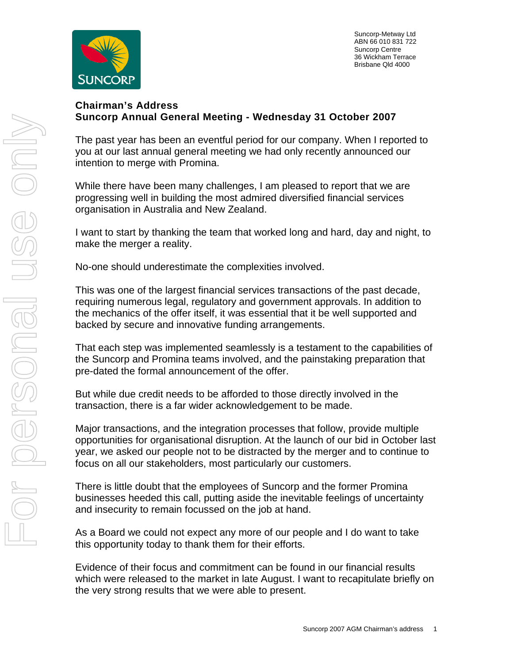

 Suncorp-Metway Ltd ABN 66 010 831 722 Suncorp Centre 36 Wickham Terrace Brisbane Qld 4000

## **Chairman's Address Suncorp Annual General Meeting - Wednesday 31 October 2007**

The past year has been an eventful period for our company. When I reported to you at our last annual general meeting we had only recently announced our intention to merge with Promina.

While there have been many challenges, I am pleased to report that we are progressing well in building the most admired diversified financial services organisation in Australia and New Zealand.

I want to start by thanking the team that worked long and hard, day and night, to make the merger a reality.

No-one should underestimate the complexities involved.

This was one of the largest financial services transactions of the past decade, requiring numerous legal, regulatory and government approvals. In addition to the mechanics of the offer itself, it was essential that it be well supported and backed by secure and innovative funding arrangements.

That each step was implemented seamlessly is a testament to the capabilities of the Suncorp and Promina teams involved, and the painstaking preparation that pre-dated the formal announcement of the offer.

But while due credit needs to be afforded to those directly involved in the transaction, there is a far wider acknowledgement to be made.

Major transactions, and the integration processes that follow, provide multiple opportunities for organisational disruption. At the launch of our bid in October last year, we asked our people not to be distracted by the merger and to continue to focus on all our stakeholders, most particularly our customers.

There is little doubt that the employees of Suncorp and the former Promina businesses heeded this call, putting aside the inevitable feelings of uncertainty and insecurity to remain focussed on the job at hand.

As a Board we could not expect any more of our people and I do want to take this opportunity today to thank them for their efforts.

Evidence of their focus and commitment can be found in our financial results which were released to the market in late August. I want to recapitulate briefly on the very strong results that we were able to present.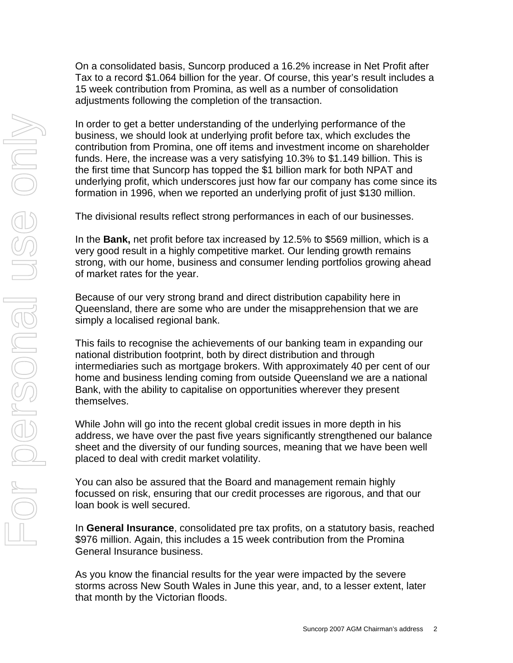On a consolidated basis, Suncorp produced a 16.2% increase in Net Profit after Tax to a record \$1.064 billion for the year. Of course, this year's result includes a 15 week contribution from Promina, as well as a number of consolidation adjustments following the completion of the transaction.

In order to get a better understanding of the underlying performance of the business, we should look at underlying profit before tax, which excludes the contribution from Promina, one off items and investment income on shareholder funds. Here, the increase was a very satisfying 10.3% to \$1.149 billion. This is the first time that Suncorp has topped the \$1 billion mark for both NPAT and underlying profit, which underscores just how far our company has come since its formation in 1996, when we reported an underlying profit of just \$130 million.

The divisional results reflect strong performances in each of our businesses.

In the **Bank,** net profit before tax increased by 12.5% to \$569 million, which is a very good result in a highly competitive market. Our lending growth remains strong, with our home, business and consumer lending portfolios growing ahead of market rates for the year.

Because of our very strong brand and direct distribution capability here in Queensland, there are some who are under the misapprehension that we are simply a localised regional bank.

This fails to recognise the achievements of our banking team in expanding our national distribution footprint, both by direct distribution and through intermediaries such as mortgage brokers. With approximately 40 per cent of our home and business lending coming from outside Queensland we are a national Bank, with the ability to capitalise on opportunities wherever they present themselves.

While John will go into the recent global credit issues in more depth in his address, we have over the past five years significantly strengthened our balance sheet and the diversity of our funding sources, meaning that we have been well placed to deal with credit market volatility.

You can also be assured that the Board and management remain highly focussed on risk, ensuring that our credit processes are rigorous, and that our loan book is well secured.

In **General Insurance**, consolidated pre tax profits, on a statutory basis, reached \$976 million. Again, this includes a 15 week contribution from the Promina General Insurance business.

As you know the financial results for the year were impacted by the severe storms across New South Wales in June this year, and, to a lesser extent, later that month by the Victorian floods.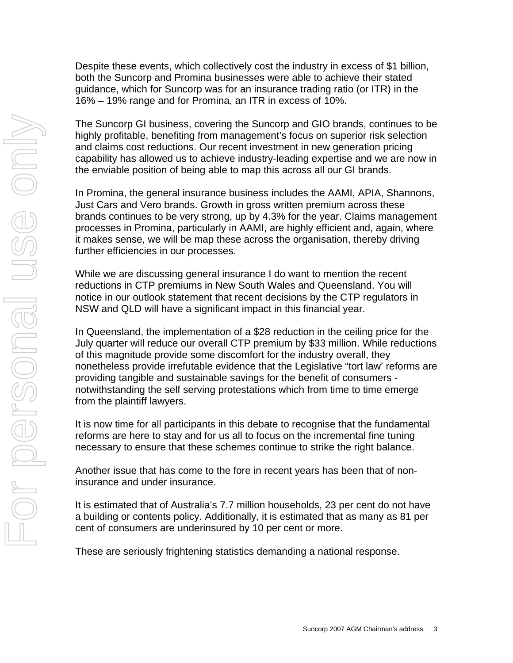Despite these events, which collectively cost the industry in excess of \$1 billion, both the Suncorp and Promina businesses were able to achieve their stated guidance, which for Suncorp was for an insurance trading ratio (or ITR) in the 16% – 19% range and for Promina, an ITR in excess of 10%.

The Suncorp GI business, covering the Suncorp and GIO brands, continues to be highly profitable, benefiting from management's focus on superior risk selection and claims cost reductions. Our recent investment in new generation pricing capability has allowed us to achieve industry-leading expertise and we are now in the enviable position of being able to map this across all our GI brands.

In Promina, the general insurance business includes the AAMI, APIA, Shannons, Just Cars and Vero brands. Growth in gross written premium across these brands continues to be very strong, up by 4.3% for the year. Claims management processes in Promina, particularly in AAMI, are highly efficient and, again, where it makes sense, we will be map these across the organisation, thereby driving further efficiencies in our processes.

While we are discussing general insurance I do want to mention the recent reductions in CTP premiums in New South Wales and Queensland. You will notice in our outlook statement that recent decisions by the CTP regulators in NSW and QLD will have a significant impact in this financial year.

In Queensland, the implementation of a \$28 reduction in the ceiling price for the July quarter will reduce our overall CTP premium by \$33 million. While reductions of this magnitude provide some discomfort for the industry overall, they nonetheless provide irrefutable evidence that the Legislative "tort law' reforms are providing tangible and sustainable savings for the benefit of consumers notwithstanding the self serving protestations which from time to time emerge from the plaintiff lawyers.

It is now time for all participants in this debate to recognise that the fundamental reforms are here to stay and for us all to focus on the incremental fine tuning necessary to ensure that these schemes continue to strike the right balance.

Another issue that has come to the fore in recent years has been that of noninsurance and under insurance.

It is estimated that of Australia's 7.7 million households, 23 per cent do not have a building or contents policy. Additionally, it is estimated that as many as 81 per cent of consumers are underinsured by 10 per cent or more.

These are seriously frightening statistics demanding a national response.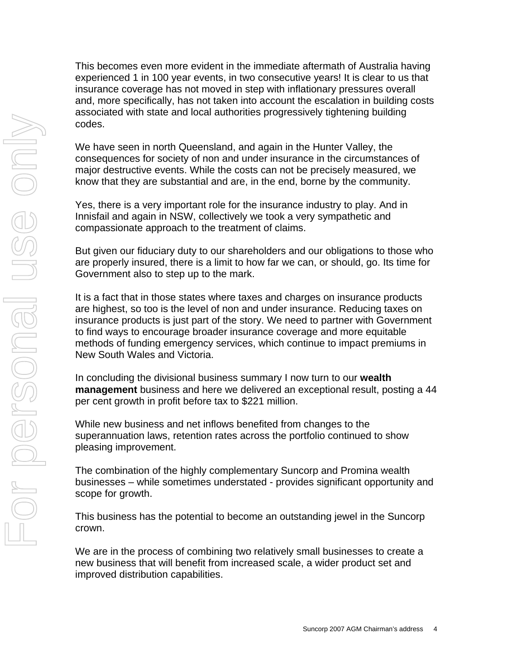This becomes even more evident in the immediate aftermath of Australia having experienced 1 in 100 year events, in two consecutive years! It is clear to us that insurance coverage has not moved in step with inflationary pressures overall and, more specifically, has not taken into account the escalation in building costs associated with state and local authorities progressively tightening building codes.

We have seen in north Queensland, and again in the Hunter Valley, the consequences for society of non and under insurance in the circumstances of major destructive events. While the costs can not be precisely measured, we know that they are substantial and are, in the end, borne by the community.

Yes, there is a very important role for the insurance industry to play. And in Innisfail and again in NSW, collectively we took a very sympathetic and compassionate approach to the treatment of claims.

But given our fiduciary duty to our shareholders and our obligations to those who are properly insured, there is a limit to how far we can, or should, go. Its time for Government also to step up to the mark.

It is a fact that in those states where taxes and charges on insurance products are highest, so too is the level of non and under insurance. Reducing taxes on insurance products is just part of the story. We need to partner with Government to find ways to encourage broader insurance coverage and more equitable methods of funding emergency services, which continue to impact premiums in New South Wales and Victoria.

In concluding the divisional business summary I now turn to our **wealth management** business and here we delivered an exceptional result, posting a 44 per cent growth in profit before tax to \$221 million.

While new business and net inflows benefited from changes to the superannuation laws, retention rates across the portfolio continued to show pleasing improvement.

The combination of the highly complementary Suncorp and Promina wealth businesses – while sometimes understated - provides significant opportunity and scope for growth.

This business has the potential to become an outstanding jewel in the Suncorp crown.

We are in the process of combining two relatively small businesses to create a new business that will benefit from increased scale, a wider product set and improved distribution capabilities.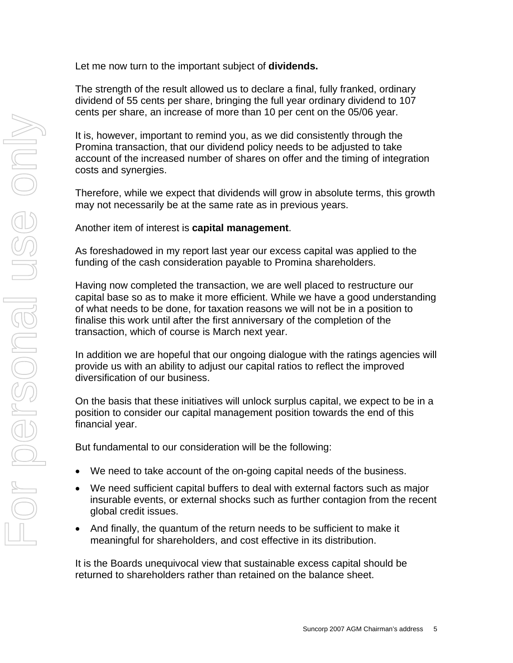Let me now turn to the important subject of **dividends.**

The strength of the result allowed us to declare a final, fully franked, ordinary dividend of 55 cents per share, bringing the full year ordinary dividend to 107 cents per share, an increase of more than 10 per cent on the 05/06 year.

It is, however, important to remind you, as we did consistently through the Promina transaction, that our dividend policy needs to be adjusted to take account of the increased number of shares on offer and the timing of integration costs and synergies.

Therefore, while we expect that dividends will grow in absolute terms, this growth may not necessarily be at the same rate as in previous years.

Another item of interest is **capital management**.

As foreshadowed in my report last year our excess capital was applied to the funding of the cash consideration payable to Promina shareholders.

Having now completed the transaction, we are well placed to restructure our capital base so as to make it more efficient. While we have a good understanding of what needs to be done, for taxation reasons we will not be in a position to finalise this work until after the first anniversary of the completion of the transaction, which of course is March next year.

In addition we are hopeful that our ongoing dialogue with the ratings agencies will provide us with an ability to adjust our capital ratios to reflect the improved diversification of our business.

On the basis that these initiatives will unlock surplus capital, we expect to be in a position to consider our capital management position towards the end of this financial year.

But fundamental to our consideration will be the following:

- We need to take account of the on-going capital needs of the business.
- We need sufficient capital buffers to deal with external factors such as major insurable events, or external shocks such as further contagion from the recent global credit issues.
- And finally, the quantum of the return needs to be sufficient to make it meaningful for shareholders, and cost effective in its distribution.

It is the Boards unequivocal view that sustainable excess capital should be returned to shareholders rather than retained on the balance sheet.